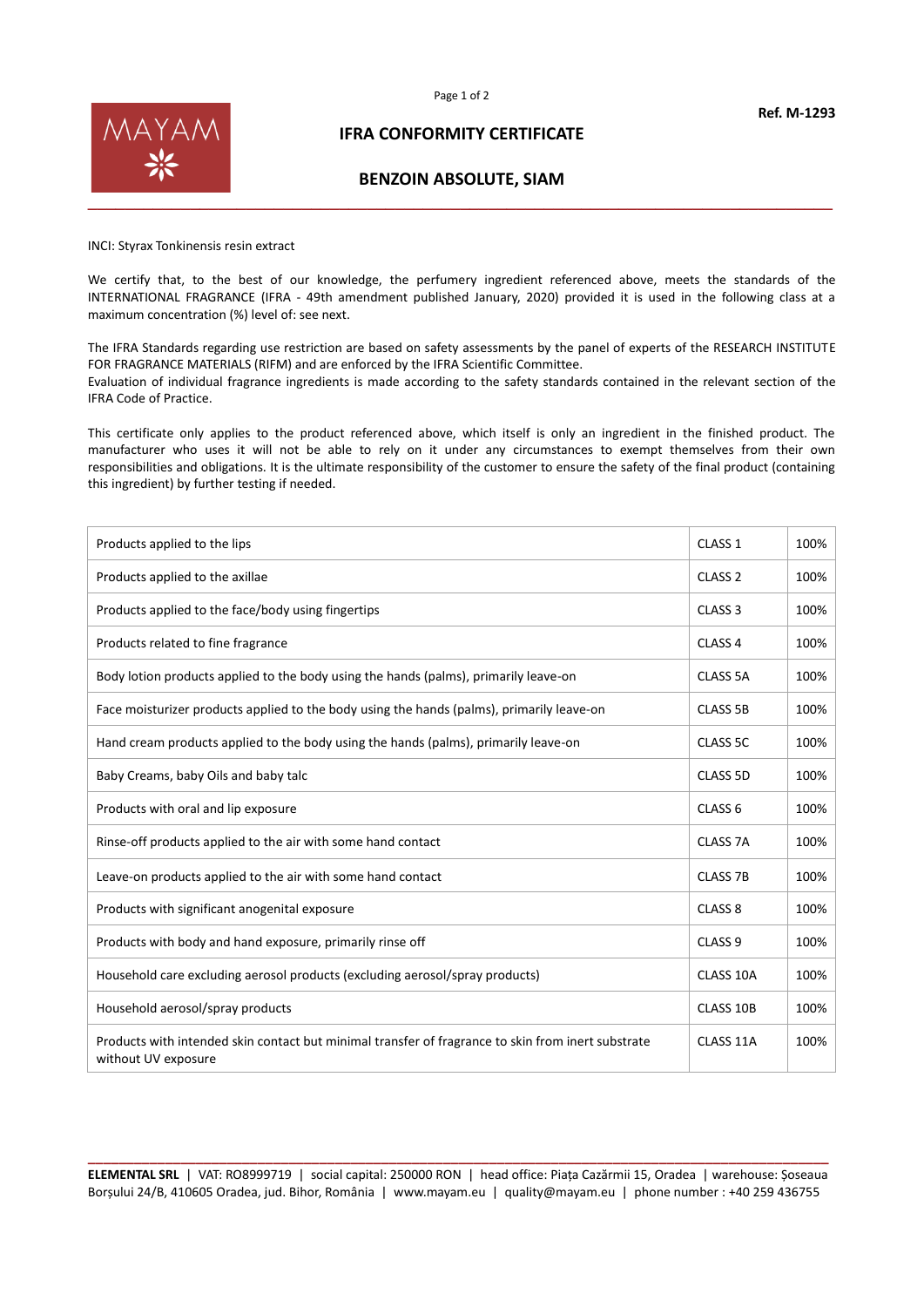



## **IFRA CONFORMITY CERTIFICATE**

## **BENZOIN ABSOLUTE, SIAM**

INCI: Styrax Tonkinensis resin extract

We certify that, to the best of our knowledge, the perfumery ingredient referenced above, meets the standards of the INTERNATIONAL FRAGRANCE (IFRA - 49th amendment published January, 2020) provided it is used in the following class at a maximum concentration (%) level of: see next.

The IFRA Standards regarding use restriction are based on safety assessments by the panel of experts of the RESEARCH INSTITUTE FOR FRAGRANCE MATERIALS (RIFM) and are enforced by the IFRA Scientific Committee. Evaluation of individual fragrance ingredients is made according to the safety standards contained in the relevant section of the IFRA Code of Practice.

This certificate only applies to the product referenced above, which itself is only an ingredient in the finished product. The manufacturer who uses it will not be able to rely on it under any circumstances to exempt themselves from their own responsibilities and obligations. It is the ultimate responsibility of the customer to ensure the safety of the final product (containing this ingredient) by further testing if needed.

| Products applied to the lips                                                                                              | CLASS <sub>1</sub> | 100% |
|---------------------------------------------------------------------------------------------------------------------------|--------------------|------|
| Products applied to the axillae                                                                                           | CLASS <sub>2</sub> | 100% |
| Products applied to the face/body using fingertips                                                                        | CLASS <sub>3</sub> | 100% |
| Products related to fine fragrance                                                                                        | CLASS <sub>4</sub> | 100% |
| Body lotion products applied to the body using the hands (palms), primarily leave-on                                      | <b>CLASS 5A</b>    | 100% |
| Face moisturizer products applied to the body using the hands (palms), primarily leave-on                                 | <b>CLASS 5B</b>    | 100% |
| Hand cream products applied to the body using the hands (palms), primarily leave-on                                       | CLASS 5C           | 100% |
| Baby Creams, baby Oils and baby talc                                                                                      | CLASS 5D           | 100% |
| Products with oral and lip exposure                                                                                       | CLASS <sub>6</sub> | 100% |
| Rinse-off products applied to the air with some hand contact                                                              | <b>CLASS 7A</b>    | 100% |
| Leave-on products applied to the air with some hand contact                                                               | <b>CLASS 7B</b>    | 100% |
| Products with significant anogenital exposure                                                                             | CLASS <sub>8</sub> | 100% |
| Products with body and hand exposure, primarily rinse off                                                                 | CLASS <sub>9</sub> | 100% |
| Household care excluding aerosol products (excluding aerosol/spray products)                                              | CLASS 10A          | 100% |
| Household aerosol/spray products                                                                                          | CLASS 10B          | 100% |
| Products with intended skin contact but minimal transfer of fragrance to skin from inert substrate<br>without UV exposure | CLASS 11A          | 100% |

**\_\_\_\_\_\_\_\_\_\_\_\_\_\_\_\_\_\_\_\_\_\_\_\_\_\_\_\_\_\_\_\_\_\_\_\_\_\_\_\_\_\_\_\_\_\_\_\_\_\_\_\_\_\_\_\_\_\_\_\_\_\_\_\_\_\_\_\_\_\_\_\_\_\_\_\_\_\_\_\_\_\_\_\_\_\_\_\_\_\_\_\_\_\_\_\_ ELEMENTAL SRL** | VAT: RO8999719 | social capital: 250000 RON | head office: Piața Cazărmii 15, Oradea | warehouse: Șoseaua Borșului 24/B, 410605 Oradea, jud. Bihor, România | www.mayam.eu | quality@mayam.eu | phone number : +40 259 436755